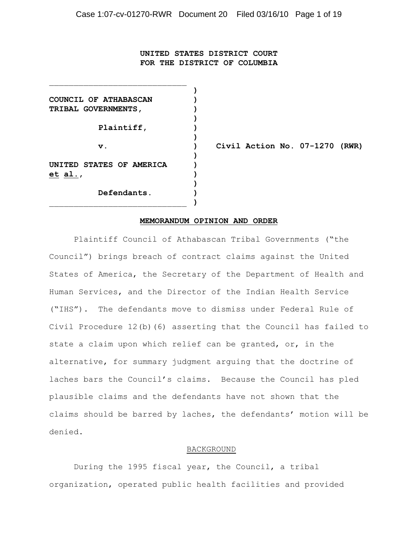# **UNITED STATES DISTRICT COURT FOR THE DISTRICT OF COLUMBIA**

**) COUNCIL OF ATHABASCAN ) TRIBAL GOVERNMENTS, ) ) Plaintiff, ) ) ) UNITED STATES OF AMERICA ) et al., ) ) Defendants. )** \_\_\_\_\_\_\_\_\_\_\_\_\_\_\_\_\_\_\_\_\_\_\_\_\_\_\_\_ **)**

**v. ) Civil Action No. 07-1270 (RWR)** 

#### **MEMORANDUM OPINION AND ORDER**

Plaintiff Council of Athabascan Tribal Governments ("the Council") brings breach of contract claims against the United States of America, the Secretary of the Department of Health and Human Services, and the Director of the Indian Health Service ("IHS"). The defendants move to dismiss under Federal Rule of Civil Procedure 12(b)(6) asserting that the Council has failed to state a claim upon which relief can be granted, or, in the alternative, for summary judgment arguing that the doctrine of laches bars the Council's claims. Because the Council has pled plausible claims and the defendants have not shown that the claims should be barred by laches, the defendants' motion will be denied.

#### BACKGROUND

During the 1995 fiscal year, the Council, a tribal organization, operated public health facilities and provided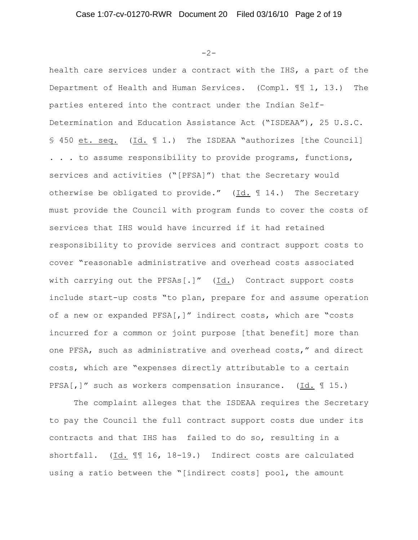-2-

health care services under a contract with the IHS, a part of the Department of Health and Human Services. (Compl. ¶¶ 1, 13.) The parties entered into the contract under the Indian Self-Determination and Education Assistance Act ("ISDEAA"), 25 U.S.C. § 450 et. seq. (Id. 11.) The ISDEAA "authorizes [the Council] . . . to assume responsibility to provide programs, functions, services and activities ("[PFSA]") that the Secretary would otherwise be obligated to provide." (Id. ¶ 14.) The Secretary must provide the Council with program funds to cover the costs of services that IHS would have incurred if it had retained responsibility to provide services and contract support costs to cover "reasonable administrative and overhead costs associated with carrying out the PFSAs $[.]''$  ( $\underline{Id.})$  Contract support costs include start-up costs "to plan, prepare for and assume operation of a new or expanded PFSA[,]" indirect costs, which are "costs incurred for a common or joint purpose [that benefit] more than one PFSA, such as administrative and overhead costs," and direct costs, which are "expenses directly attributable to a certain PFSA[,]" such as workers compensation insurance. (Id. ¶ 15.)

The complaint alleges that the ISDEAA requires the Secretary to pay the Council the full contract support costs due under its contracts and that IHS has failed to do so, resulting in a shortfall. (Id. ¶¶ 16, 18-19.) Indirect costs are calculated using a ratio between the "[indirect costs] pool, the amount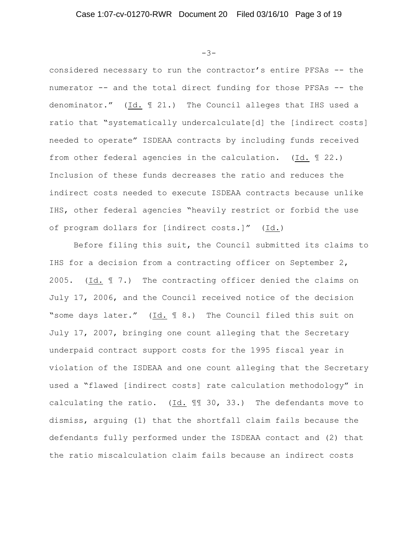$-3-$ 

considered necessary to run the contractor's entire PFSAs -- the numerator -- and the total direct funding for those PFSAs -- the denominator." (Id. ¶ 21.) The Council alleges that IHS used a ratio that "systematically undercalculate[d] the [indirect costs] needed to operate" ISDEAA contracts by including funds received from other federal agencies in the calculation. (Id. ¶ 22.) Inclusion of these funds decreases the ratio and reduces the indirect costs needed to execute ISDEAA contracts because unlike IHS, other federal agencies "heavily restrict or forbid the use of program dollars for [indirect costs.]" (Id.)

Before filing this suit, the Council submitted its claims to IHS for a decision from a contracting officer on September 2, 2005. (Id. ¶ 7.) The contracting officer denied the claims on July 17, 2006, and the Council received notice of the decision "some days later." (Id. ¶ 8.) The Council filed this suit on July 17, 2007, bringing one count alleging that the Secretary underpaid contract support costs for the 1995 fiscal year in violation of the ISDEAA and one count alleging that the Secretary used a "flawed [indirect costs] rate calculation methodology" in calculating the ratio. (Id. ¶¶ 30, 33.) The defendants move to dismiss, arguing (1) that the shortfall claim fails because the defendants fully performed under the ISDEAA contact and (2) that the ratio miscalculation claim fails because an indirect costs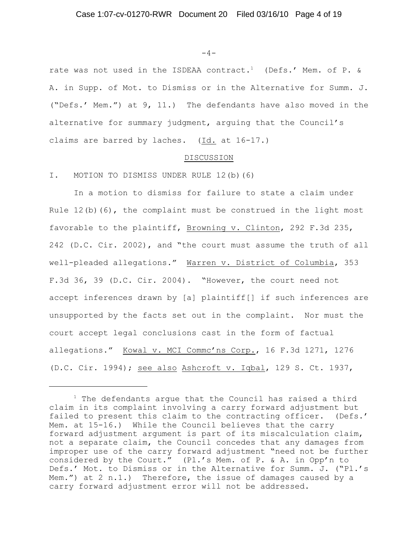$-4-$ 

rate was not used in the ISDEAA contract.<sup>1</sup> (Defs.' Mem. of P. & A. in Supp. of Mot. to Dismiss or in the Alternative for Summ. J. ("Defs.' Mem.") at 9, 11.) The defendants have also moved in the alternative for summary judgment, arguing that the Council's claims are barred by laches. (Id. at 16-17.)

#### DISCUSSION

I. MOTION TO DISMISS UNDER RULE 12(b)(6)

In a motion to dismiss for failure to state a claim under Rule  $12(b)$  (6), the complaint must be construed in the light most favorable to the plaintiff, Browning v. Clinton, 292 F.3d 235, 242 (D.C. Cir. 2002), and "the court must assume the truth of all well-pleaded allegations." Warren v. District of Columbia, 353 F.3d 36, 39 (D.C. Cir. 2004). "However, the court need not accept inferences drawn by [a] plaintiff[] if such inferences are unsupported by the facts set out in the complaint. Nor must the court accept legal conclusions cast in the form of factual allegations." Kowal v. MCI Commc'ns Corp., 16 F.3d 1271, 1276 (D.C. Cir. 1994); see also Ashcroft v. Iqbal, 129 S. Ct. 1937,

 $1$  The defendants argue that the Council has raised a third claim in its complaint involving a carry forward adjustment but failed to present this claim to the contracting officer. (Defs.' Mem. at 15-16.) While the Council believes that the carry forward adjustment argument is part of its miscalculation claim, not a separate claim, the Council concedes that any damages from improper use of the carry forward adjustment "need not be further considered by the Court." (Pl.'s Mem. of P. & A. in Opp'n to Defs.' Mot. to Dismiss or in the Alternative for Summ. J. ("Pl.'s Mem.") at  $2 \text{ n.1.}$  Therefore, the issue of damages caused by a carry forward adjustment error will not be addressed.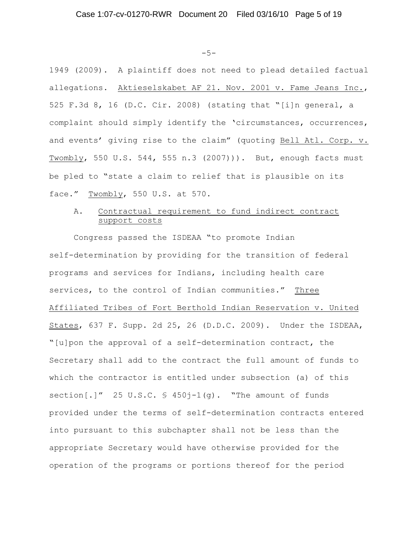-5-

1949 (2009). A plaintiff does not need to plead detailed factual allegations. Aktieselskabet AF 21. Nov. 2001 v. Fame Jeans Inc., 525 F.3d 8, 16 (D.C. Cir. 2008) (stating that "[i]n general, a complaint should simply identify the 'circumstances, occurrences, and events' giving rise to the claim" (quoting Bell Atl. Corp. v. Twombly, 550 U.S. 544, 555 n.3 (2007))). But, enough facts must be pled to "state a claim to relief that is plausible on its face." Twombly, 550 U.S. at 570.

# A. Contractual requirement to fund indirect contract support costs

Congress passed the ISDEAA "to promote Indian self-determination by providing for the transition of federal programs and services for Indians, including health care services, to the control of Indian communities." Three Affiliated Tribes of Fort Berthold Indian Reservation v. United States, 637 F. Supp. 2d 25, 26 (D.D.C. 2009). Under the ISDEAA, "[u]pon the approval of a self-determination contract, the Secretary shall add to the contract the full amount of funds to which the contractor is entitled under subsection (a) of this section  $[.]''$  25 U.S.C.  $\frac{6}{5}$  450 $\frac{1}{9}$ . "The amount of funds provided under the terms of self-determination contracts entered into pursuant to this subchapter shall not be less than the appropriate Secretary would have otherwise provided for the operation of the programs or portions thereof for the period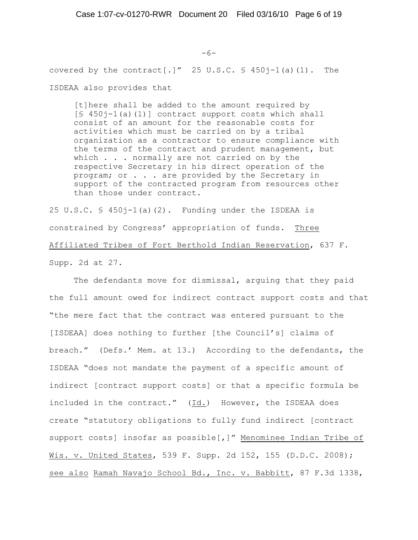$-6-$ 

covered by the contract[.]" 25 U.S.C.  $\frac{1}{5}$  450j-1(a)(1). The ISDEAA also provides that

[t]here shall be added to the amount required by  $[\$ 450j-1(a)(1)]$  contract support costs which shall consist of an amount for the reasonable costs for activities which must be carried on by a tribal organization as a contractor to ensure compliance with the terms of the contract and prudent management, but which . . . normally are not carried on by the respective Secretary in his direct operation of the program; or . . . are provided by the Secretary in support of the contracted program from resources other than those under contract.

25 U.S.C. § 450j-1(a)(2). Funding under the ISDEAA is constrained by Congress' appropriation of funds. Three Affiliated Tribes of Fort Berthold Indian Reservation, 637 F. Supp. 2d at 27.

The defendants move for dismissal, arguing that they paid the full amount owed for indirect contract support costs and that "the mere fact that the contract was entered pursuant to the [ISDEAA] does nothing to further [the Council's] claims of breach." (Defs.' Mem. at 13.) According to the defendants, the ISDEAA "does not mandate the payment of a specific amount of indirect [contract support costs] or that a specific formula be included in the contract." (Id.) However, the ISDEAA does create "statutory obligations to fully fund indirect [contract support costs] insofar as possible[,]" Menominee Indian Tribe of Wis. v. United States, 539 F. Supp. 2d 152, 155 (D.D.C. 2008); see also Ramah Navajo School Bd., Inc. v. Babbitt, 87 F.3d 1338,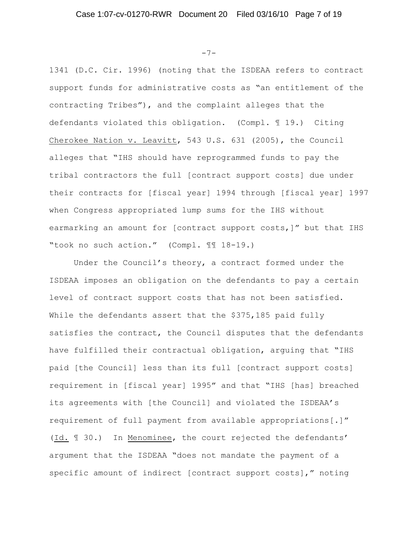$-7-$ 

1341 (D.C. Cir. 1996) (noting that the ISDEAA refers to contract support funds for administrative costs as "an entitlement of the contracting Tribes"), and the complaint alleges that the defendants violated this obligation. (Compl. ¶ 19.) Citing Cherokee Nation v. Leavitt, 543 U.S. 631 (2005), the Council alleges that "IHS should have reprogrammed funds to pay the tribal contractors the full [contract support costs] due under their contracts for [fiscal year] 1994 through [fiscal year] 1997 when Congress appropriated lump sums for the IHS without earmarking an amount for [contract support costs,]" but that IHS "took no such action." (Compl. ¶¶ 18-19.)

Under the Council's theory, a contract formed under the ISDEAA imposes an obligation on the defendants to pay a certain level of contract support costs that has not been satisfied. While the defendants assert that the \$375,185 paid fully satisfies the contract, the Council disputes that the defendants have fulfilled their contractual obligation, arguing that "IHS paid [the Council] less than its full [contract support costs] requirement in [fiscal year] 1995" and that "IHS [has] breached its agreements with [the Council] and violated the ISDEAA's requirement of full payment from available appropriations[.]" (Id. ¶ 30.) In Menominee, the court rejected the defendants' argument that the ISDEAA "does not mandate the payment of a specific amount of indirect [contract support costs]," noting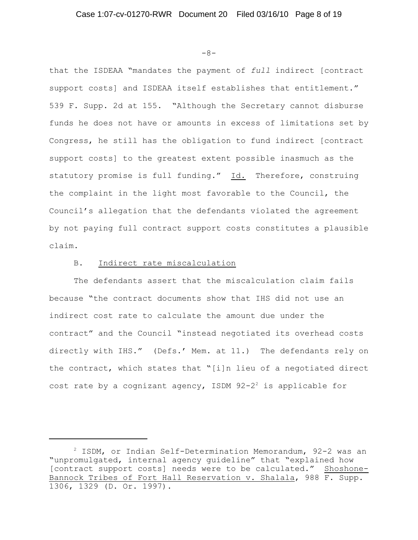$-8-$ 

that the ISDEAA "mandates the payment of *full* indirect [contract support costs] and ISDEAA itself establishes that entitlement." 539 F. Supp. 2d at 155. "Although the Secretary cannot disburse funds he does not have or amounts in excess of limitations set by Congress, he still has the obligation to fund indirect [contract support costs] to the greatest extent possible inasmuch as the statutory promise is full funding." Id. Therefore, construing the complaint in the light most favorable to the Council, the Council's allegation that the defendants violated the agreement by not paying full contract support costs constitutes a plausible claim.

## B. Indirect rate miscalculation

The defendants assert that the miscalculation claim fails because "the contract documents show that IHS did not use an indirect cost rate to calculate the amount due under the contract" and the Council "instead negotiated its overhead costs directly with IHS." (Defs.' Mem. at 11.) The defendants rely on the contract, which states that "[i]n lieu of a negotiated direct cost rate by a cognizant agency, ISDM  $92-2^2$  is applicable for

 $2$  ISDM, or Indian Self-Determination Memorandum, 92-2 was an "unpromulgated, internal agency guideline" that "explained how [contract support costs] needs were to be calculated." Shoshone-Bannock Tribes of Fort Hall Reservation v. Shalala, 988 F. Supp. 1306, 1329 (D. Or. 1997).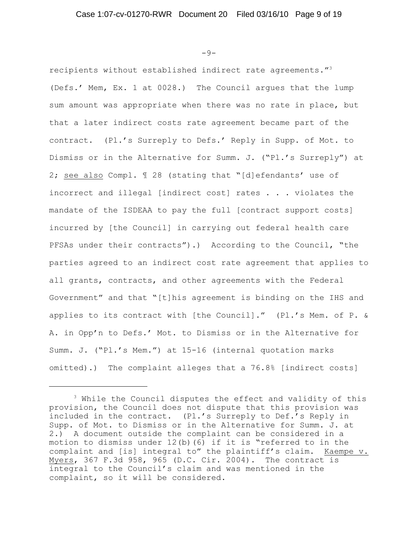$-9-$ 

recipients without established indirect rate agreements."<sup>3</sup> (Defs.' Mem, Ex. 1 at 0028.) The Council argues that the lump sum amount was appropriate when there was no rate in place, but that a later indirect costs rate agreement became part of the contract. (Pl.'s Surreply to Defs.' Reply in Supp. of Mot. to Dismiss or in the Alternative for Summ. J. ("Pl.'s Surreply") at 2; see also Compl. ¶ 28 (stating that "[d]efendants' use of incorrect and illegal [indirect cost] rates . . . violates the mandate of the ISDEAA to pay the full [contract support costs] incurred by [the Council] in carrying out federal health care PFSAs under their contracts").) According to the Council, "the parties agreed to an indirect cost rate agreement that applies to all grants, contracts, and other agreements with the Federal Government" and that "[t]his agreement is binding on the IHS and applies to its contract with [the Council]." (Pl.'s Mem. of P. & A. in Opp'n to Defs.' Mot. to Dismiss or in the Alternative for Summ. J. ("Pl.'s Mem.") at 15-16 (internal quotation marks omitted).) The complaint alleges that a 76.8% [indirect costs]

 $3$  While the Council disputes the effect and validity of this provision, the Council does not dispute that this provision was included in the contract. (Pl.'s Surreply to Def.'s Reply in Supp. of Mot. to Dismiss or in the Alternative for Summ. J. at 2.) A document outside the complaint can be considered in a motion to dismiss under 12(b)(6) if it is "referred to in the complaint and [is] integral to" the plaintiff's claim. Kaempe v. Myers, 367 F.3d 958, 965 (D.C. Cir. 2004). The contract is integral to the Council's claim and was mentioned in the complaint, so it will be considered.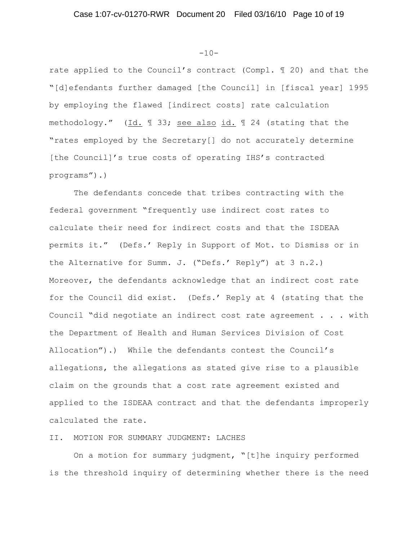### $-10-$

rate applied to the Council's contract (Compl. ¶ 20) and that the "[d]efendants further damaged [the Council] in [fiscal year] 1995 by employing the flawed [indirect costs] rate calculation methodology." (Id. ¶ 33; see also id. ¶ 24 (stating that the "rates employed by the Secretary[] do not accurately determine [the Council]'s true costs of operating IHS's contracted programs").)

The defendants concede that tribes contracting with the federal government "frequently use indirect cost rates to calculate their need for indirect costs and that the ISDEAA permits it." (Defs.' Reply in Support of Mot. to Dismiss or in the Alternative for Summ. J. ("Defs.' Reply") at 3 n.2.) Moreover, the defendants acknowledge that an indirect cost rate for the Council did exist. (Defs.' Reply at 4 (stating that the Council "did negotiate an indirect cost rate agreement . . . with the Department of Health and Human Services Division of Cost Allocation").) While the defendants contest the Council's allegations, the allegations as stated give rise to a plausible claim on the grounds that a cost rate agreement existed and applied to the ISDEAA contract and that the defendants improperly calculated the rate.

II. MOTION FOR SUMMARY JUDGMENT: LACHES

On a motion for summary judgment, "[t]he inquiry performed is the threshold inquiry of determining whether there is the need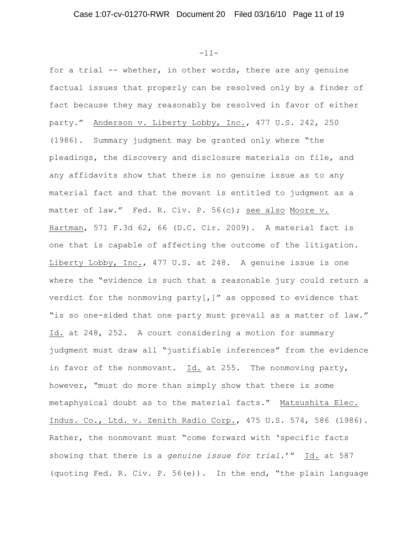-11-

for a trial -- whether, in other words, there are any genuine factual issues that properly can be resolved only by a finder of fact because they may reasonably be resolved in favor of either party." Anderson v. Liberty Lobby, Inc., 477 U.S. 242, 250 (1986). Summary judgment may be granted only where "the pleadings, the discovery and disclosure materials on file, and any affidavits show that there is no genuine issue as to any material fact and that the movant is entitled to judgment as a matter of law." Fed. R. Civ. P. 56(c); see also Moore v. Hartman, 571 F.3d 62, 66 (D.C. Cir. 2009). A material fact is one that is capable of affecting the outcome of the litigation. Liberty Lobby, Inc., 477 U.S. at 248. A genuine issue is one where the "evidence is such that a reasonable jury could return a verdict for the nonmoving party[,]" as opposed to evidence that "is so one-sided that one party must prevail as a matter of law." Id. at 248, 252. A court considering a motion for summary judgment must draw all "justifiable inferences" from the evidence in favor of the nonmovant. Id. at 255. The nonmoving party, however, "must do more than simply show that there is some metaphysical doubt as to the material facts." Matsushita Elec. Indus. Co., Ltd. v. Zenith Radio Corp., 475 U.S. 574, 586 (1986). Rather, the nonmovant must "come forward with 'specific facts showing that there is a *genuine issue for trial*.'" Id. at 587 (quoting Fed. R. Civ. P. 56(e)). In the end, "the plain language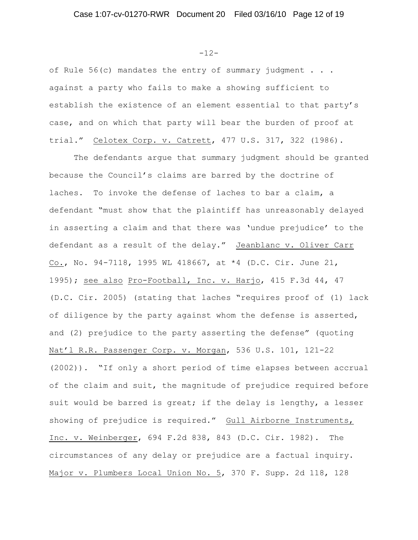-12-

of Rule 56(c) mandates the entry of summary judgment . . . against a party who fails to make a showing sufficient to establish the existence of an element essential to that party's case, and on which that party will bear the burden of proof at trial." Celotex Corp. v. Catrett, 477 U.S. 317, 322 (1986).

The defendants argue that summary judgment should be granted because the Council's claims are barred by the doctrine of laches. To invoke the defense of laches to bar a claim, a defendant "must show that the plaintiff has unreasonably delayed in asserting a claim and that there was 'undue prejudice' to the defendant as a result of the delay." Jeanblanc v. Oliver Carr Co., No. 94-7118, 1995 WL 418667, at \*4 (D.C. Cir. June 21, 1995); see also Pro-Football, Inc. v. Harjo, 415 F.3d 44, 47 (D.C. Cir. 2005) (stating that laches "requires proof of (1) lack of diligence by the party against whom the defense is asserted, and (2) prejudice to the party asserting the defense" (quoting Nat'l R.R. Passenger Corp. v. Morgan, 536 U.S. 101, 121-22 (2002)). "If only a short period of time elapses between accrual of the claim and suit, the magnitude of prejudice required before suit would be barred is great; if the delay is lengthy, a lesser showing of prejudice is required." Gull Airborne Instruments, Inc. v. Weinberger, 694 F.2d 838, 843 (D.C. Cir. 1982). The circumstances of any delay or prejudice are a factual inquiry. Major v. Plumbers Local Union No. 5, 370 F. Supp. 2d 118, 128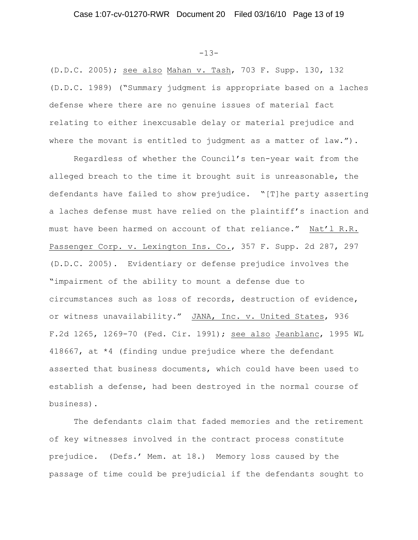-13-

(D.D.C. 2005); see also Mahan v. Tash, 703 F. Supp. 130, 132 (D.D.C. 1989) ("Summary judgment is appropriate based on a laches defense where there are no genuine issues of material fact relating to either inexcusable delay or material prejudice and where the movant is entitled to judgment as a matter of law.").

Regardless of whether the Council's ten-year wait from the alleged breach to the time it brought suit is unreasonable, the defendants have failed to show prejudice. "[T]he party asserting a laches defense must have relied on the plaintiff's inaction and must have been harmed on account of that reliance." Nat'l R.R. Passenger Corp. v. Lexington Ins. Co., 357 F. Supp. 2d 287, 297 (D.D.C. 2005). Evidentiary or defense prejudice involves the "impairment of the ability to mount a defense due to circumstances such as loss of records, destruction of evidence, or witness unavailability." JANA, Inc. v. United States, 936 F.2d 1265, 1269-70 (Fed. Cir. 1991); see also Jeanblanc, 1995 WL 418667, at \*4 (finding undue prejudice where the defendant asserted that business documents, which could have been used to establish a defense, had been destroyed in the normal course of business).

The defendants claim that faded memories and the retirement of key witnesses involved in the contract process constitute prejudice. (Defs.' Mem. at 18.) Memory loss caused by the passage of time could be prejudicial if the defendants sought to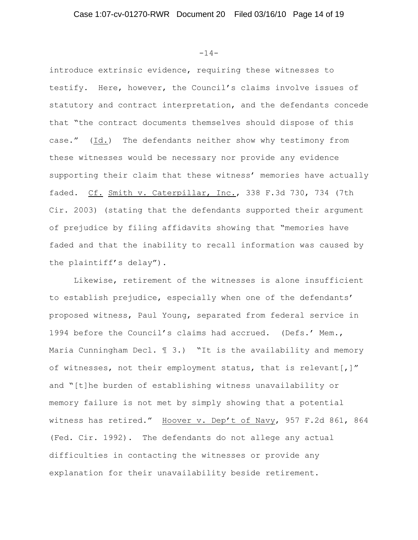-14-

introduce extrinsic evidence, requiring these witnesses to testify. Here, however, the Council's claims involve issues of statutory and contract interpretation, and the defendants concede that "the contract documents themselves should dispose of this case." (Id.) The defendants neither show why testimony from these witnesses would be necessary nor provide any evidence supporting their claim that these witness' memories have actually faded. Cf. Smith v. Caterpillar, Inc., 338 F.3d 730, 734 (7th Cir. 2003) (stating that the defendants supported their argument of prejudice by filing affidavits showing that "memories have faded and that the inability to recall information was caused by the plaintiff's delay").

Likewise, retirement of the witnesses is alone insufficient to establish prejudice, especially when one of the defendants' proposed witness, Paul Young, separated from federal service in 1994 before the Council's claims had accrued. (Defs.' Mem., Maria Cunningham Decl. 1 3.) "It is the availability and memory of witnesses, not their employment status, that is relevant[,]" and "[t]he burden of establishing witness unavailability or memory failure is not met by simply showing that a potential witness has retired." Hoover v. Dep't of Navy, 957 F.2d 861, 864 (Fed. Cir. 1992). The defendants do not allege any actual difficulties in contacting the witnesses or provide any explanation for their unavailability beside retirement.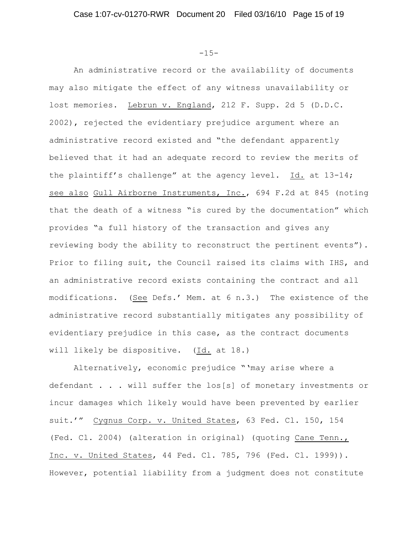-15-

An administrative record or the availability of documents may also mitigate the effect of any witness unavailability or lost memories. Lebrun v. England, 212 F. Supp. 2d 5 (D.D.C. 2002), rejected the evidentiary prejudice argument where an administrative record existed and "the defendant apparently believed that it had an adequate record to review the merits of the plaintiff's challenge" at the agency level. Id. at 13-14; see also Gull Airborne Instruments, Inc., 694 F.2d at 845 (noting that the death of a witness "is cured by the documentation" which provides "a full history of the transaction and gives any reviewing body the ability to reconstruct the pertinent events"). Prior to filing suit, the Council raised its claims with IHS, and an administrative record exists containing the contract and all modifications. (See Defs.' Mem. at 6 n.3.) The existence of the administrative record substantially mitigates any possibility of evidentiary prejudice in this case, as the contract documents will likely be dispositive. (Id. at 18.)

Alternatively, economic prejudice "'may arise where a defendant . . . will suffer the los[s] of monetary investments or incur damages which likely would have been prevented by earlier suit.'" Cygnus Corp. v. United States, 63 Fed. Cl. 150, 154 (Fed. Cl. 2004) (alteration in original) (quoting Cane Tenn., Inc. v. United States, 44 Fed. Cl. 785, 796 (Fed. Cl. 1999)). However, potential liability from a judgment does not constitute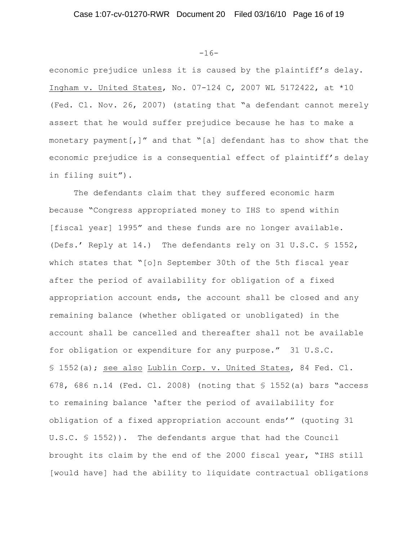### -16-

economic prejudice unless it is caused by the plaintiff's delay. Ingham v. United States, No. 07-124 C, 2007 WL 5172422, at \*10 (Fed. Cl. Nov. 26, 2007) (stating that "a defendant cannot merely assert that he would suffer prejudice because he has to make a monetary payment[,]" and that "[a] defendant has to show that the economic prejudice is a consequential effect of plaintiff's delay in filing suit").

The defendants claim that they suffered economic harm because "Congress appropriated money to IHS to spend within [fiscal year] 1995" and these funds are no longer available. (Defs.' Reply at 14.) The defendants rely on 31 U.S.C. § 1552, which states that "[o]n September 30th of the 5th fiscal year after the period of availability for obligation of a fixed appropriation account ends, the account shall be closed and any remaining balance (whether obligated or unobligated) in the account shall be cancelled and thereafter shall not be available for obligation or expenditure for any purpose." 31 U.S.C. § 1552(a); see also Lublin Corp. v. United States, 84 Fed. Cl. 678, 686 n.14 (Fed. Cl. 2008) (noting that  $$1552(a)$  bars "access to remaining balance 'after the period of availability for obligation of a fixed appropriation account ends'" (quoting 31 U.S.C. § 1552)). The defendants argue that had the Council brought its claim by the end of the 2000 fiscal year, "IHS still [would have] had the ability to liquidate contractual obligations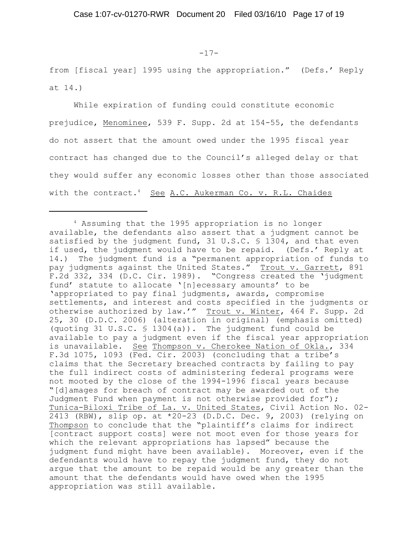from [fiscal year] 1995 using the appropriation." (Defs.' Reply at 14.)

While expiration of funding could constitute economic prejudice, Menominee, 539 F. Supp. 2d at 154-55, the defendants do not assert that the amount owed under the 1995 fiscal year contract has changed due to the Council's alleged delay or that they would suffer any economic losses other than those associated with the contract.<sup>4</sup> See A.C. Aukerman Co. v. R.L. Chaides

 $4$  Assuming that the 1995 appropriation is no longer available, the defendants also assert that a judgment cannot be satisfied by the judgment fund, 31 U.S.C. § 1304, and that even if used, the judgment would have to be repaid. (Defs.' Reply at 14.) The judgment fund is a "permanent appropriation of funds to pay judgments against the United States." Trout v. Garrett, 891 F.2d 332, 334 (D.C. Cir. 1989). "Congress created the 'judgment fund' statute to allocate '[n]ecessary amounts' to be 'appropriated to pay final judgments, awards, compromise settlements, and interest and costs specified in the judgments or otherwise authorized by law.'" Trout v. Winter, 464 F. Supp. 2d 25, 30 (D.D.C. 2006) (alteration in original) (emphasis omitted) (quoting 31 U.S.C. § 1304(a)). The judgment fund could be available to pay a judgment even if the fiscal year appropriation is unavailable. See Thompson v. Cherokee Nation of Okla., 334 F.3d 1075, 1093 (Fed. Cir. 2003) (concluding that a tribe's claims that the Secretary breached contracts by failing to pay the full indirect costs of administering federal programs were not mooted by the close of the 1994-1996 fiscal years because "[d]amages for breach of contract may be awarded out of the Judgment Fund when payment is not otherwise provided for"); Tunica-Biloxi Tribe of La. v. United States, Civil Action No. 02- 2413 (RBW), slip op. at \*20-23 (D.D.C. Dec. 9, 2003) (relying on Thompson to conclude that the "plaintiff's claims for indirect [contract support costs] were not moot even for those years for which the relevant appropriations has lapsed" because the judgment fund might have been available). Moreover, even if the defendants would have to repay the judgment fund, they do not argue that the amount to be repaid would be any greater than the amount that the defendants would have owed when the 1995 appropriation was still available.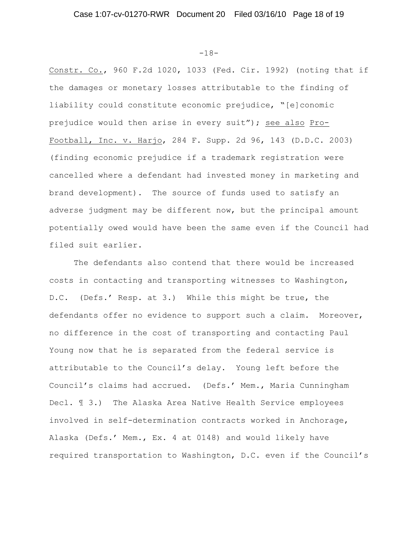-18-

Constr. Co., 960 F.2d 1020, 1033 (Fed. Cir. 1992) (noting that if the damages or monetary losses attributable to the finding of liability could constitute economic prejudice, "[e]conomic prejudice would then arise in every suit"); see also Pro-Football, Inc. v. Harjo, 284 F. Supp. 2d 96, 143 (D.D.C. 2003) (finding economic prejudice if a trademark registration were cancelled where a defendant had invested money in marketing and brand development). The source of funds used to satisfy an adverse judgment may be different now, but the principal amount potentially owed would have been the same even if the Council had filed suit earlier.

The defendants also contend that there would be increased costs in contacting and transporting witnesses to Washington, D.C. (Defs.' Resp. at 3.) While this might be true, the defendants offer no evidence to support such a claim. Moreover, no difference in the cost of transporting and contacting Paul Young now that he is separated from the federal service is attributable to the Council's delay. Young left before the Council's claims had accrued. (Defs.' Mem., Maria Cunningham Decl. ¶ 3.) The Alaska Area Native Health Service employees involved in self-determination contracts worked in Anchorage, Alaska (Defs.' Mem., Ex. 4 at 0148) and would likely have required transportation to Washington, D.C. even if the Council's